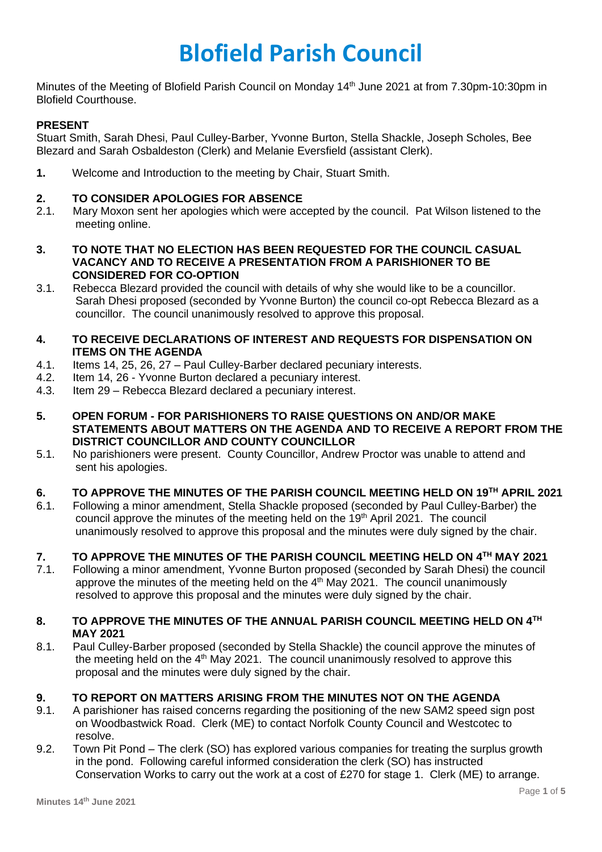# **Blofield Parish Council**

Minutes of the Meeting of Blofield Parish Council on Monday 14<sup>th</sup> June 2021 at from 7.30pm-10:30pm in Blofield Courthouse.

# **PRESENT**

Stuart Smith, Sarah Dhesi, Paul Culley-Barber, Yvonne Burton, Stella Shackle, Joseph Scholes, Bee Blezard and Sarah Osbaldeston (Clerk) and Melanie Eversfield (assistant Clerk).

**1.** Welcome and Introduction to the meeting by Chair, Stuart Smith.

### **2. TO CONSIDER APOLOGIES FOR ABSENCE**

- 2.1. Mary Moxon sent her apologies which were accepted by the council. Pat Wilson listened to the meeting online.
- **3. TO NOTE THAT NO ELECTION HAS BEEN REQUESTED FOR THE COUNCIL CASUAL VACANCY AND TO RECEIVE A PRESENTATION FROM A PARISHIONER TO BE CONSIDERED FOR CO-OPTION**
- 3.1. Rebecca Blezard provided the council with details of why she would like to be a councillor. Sarah Dhesi proposed (seconded by Yvonne Burton) the council co-opt Rebecca Blezard as a councillor. The council unanimously resolved to approve this proposal.
- **4. TO RECEIVE DECLARATIONS OF INTEREST AND REQUESTS FOR DISPENSATION ON ITEMS ON THE AGENDA**
- 4.1. Items 14, 25, 26, 27 Paul Culley-Barber declared pecuniary interests.
- 4.2. Item 14, 26 Yvonne Burton declared a pecuniary interest.
- 4.3. Item 29 Rebecca Blezard declared a pecuniary interest.
- **5. OPEN FORUM - FOR PARISHIONERS TO RAISE QUESTIONS ON AND/OR MAKE STATEMENTS ABOUT MATTERS ON THE AGENDA AND TO RECEIVE A REPORT FROM THE DISTRICT COUNCILLOR AND COUNTY COUNCILLOR**
- 5.1. No parishioners were present. County Councillor, Andrew Proctor was unable to attend and sent his apologies.

## **6. TO APPROVE THE MINUTES OF THE PARISH COUNCIL MEETING HELD ON 19TH APRIL 2021**

6.1. Following a minor amendment, Stella Shackle proposed (seconded by Paul Culley-Barber) the council approve the minutes of the meeting held on the 19<sup>th</sup> April 2021. The council unanimously resolved to approve this proposal and the minutes were duly signed by the chair.

## **7. TO APPROVE THE MINUTES OF THE PARISH COUNCIL MEETING HELD ON 4TH MAY 2021**

7.1. Following a minor amendment, Yvonne Burton proposed (seconded by Sarah Dhesi) the council approve the minutes of the meeting held on the  $4<sup>th</sup>$  May 2021. The council unanimously resolved to approve this proposal and the minutes were duly signed by the chair.

#### **8. TO APPROVE THE MINUTES OF THE ANNUAL PARISH COUNCIL MEETING HELD ON 4TH MAY 2021**

8.1. Paul Culley-Barber proposed (seconded by Stella Shackle) the council approve the minutes of the meeting held on the  $4<sup>th</sup>$  May 2021. The council unanimously resolved to approve this proposal and the minutes were duly signed by the chair.

## **9. TO REPORT ON MATTERS ARISING FROM THE MINUTES NOT ON THE AGENDA**

- 9.1. A parishioner has raised concerns regarding the positioning of the new SAM2 speed sign post on Woodbastwick Road. Clerk (ME) to contact Norfolk County Council and Westcotec to resolve.
- 9.2. Town Pit Pond The clerk (SO) has explored various companies for treating the surplus growth in the pond. Following careful informed consideration the clerk (SO) has instructed Conservation Works to carry out the work at a cost of £270 for stage 1. Clerk (ME) to arrange.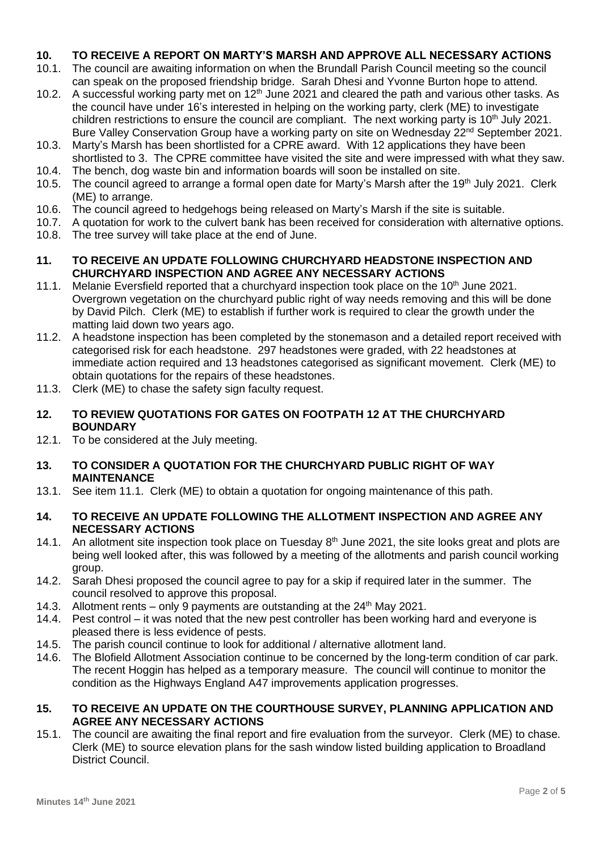# **10. TO RECEIVE A REPORT ON MARTY'S MARSH AND APPROVE ALL NECESSARY ACTIONS**

- 10.1. The council are awaiting information on when the Brundall Parish Council meeting so the council can speak on the proposed friendship bridge. Sarah Dhesi and Yvonne Burton hope to attend.
- 10.2. A successful working party met on  $12<sup>th</sup>$  June 2021 and cleared the path and various other tasks. As the council have under 16's interested in helping on the working party, clerk (ME) to investigate children restrictions to ensure the council are compliant. The next working party is 10<sup>th</sup> July 2021. Bure Valley Conservation Group have a working party on site on Wednesday 22<sup>nd</sup> September 2021.
- 10.3. Marty's Marsh has been shortlisted for a CPRE award. With 12 applications they have been shortlisted to 3. The CPRE committee have visited the site and were impressed with what they saw.
- 10.4. The bench, dog waste bin and information boards will soon be installed on site.
- 10.5. The council agreed to arrange a formal open date for Marty's Marsh after the 19<sup>th</sup> July 2021. Clerk (ME) to arrange.
- 10.6. The council agreed to hedgehogs being released on Marty's Marsh if the site is suitable.
- 10.7. A quotation for work to the culvert bank has been received for consideration with alternative options.
- 10.8. The tree survey will take place at the end of June.
- **11. TO RECEIVE AN UPDATE FOLLOWING CHURCHYARD HEADSTONE INSPECTION AND CHURCHYARD INSPECTION AND AGREE ANY NECESSARY ACTIONS**
- 11.1. Melanie Eversfield reported that a churchyard inspection took place on the 10<sup>th</sup> June 2021. Overgrown vegetation on the churchyard public right of way needs removing and this will be done by David Pilch. Clerk (ME) to establish if further work is required to clear the growth under the matting laid down two years ago.
- 11.2. A headstone inspection has been completed by the stonemason and a detailed report received with categorised risk for each headstone. 297 headstones were graded, with 22 headstones at immediate action required and 13 headstones categorised as significant movement. Clerk (ME) to obtain quotations for the repairs of these headstones.
- 11.3. Clerk (ME) to chase the safety sign faculty request.
- **12. TO REVIEW QUOTATIONS FOR GATES ON FOOTPATH 12 AT THE CHURCHYARD BOUNDARY**
- 12.1. To be considered at the July meeting.
- **13. TO CONSIDER A QUOTATION FOR THE CHURCHYARD PUBLIC RIGHT OF WAY MAINTENANCE**
- 13.1. See item 11.1. Clerk (ME) to obtain a quotation for ongoing maintenance of this path.
- **14. TO RECEIVE AN UPDATE FOLLOWING THE ALLOTMENT INSPECTION AND AGREE ANY NECESSARY ACTIONS**
- 14.1. An allotment site inspection took place on Tuesday  $8<sup>th</sup>$  June 2021, the site looks great and plots are being well looked after, this was followed by a meeting of the allotments and parish council working group.
- 14.2. Sarah Dhesi proposed the council agree to pay for a skip if required later in the summer. The council resolved to approve this proposal.
- 14.3. Allotment rents only 9 payments are outstanding at the  $24<sup>th</sup>$  May 2021.
- 14.4. Pest control it was noted that the new pest controller has been working hard and everyone is pleased there is less evidence of pests.
- 14.5. The parish council continue to look for additional / alternative allotment land.
- 14.6. The Blofield Allotment Association continue to be concerned by the long-term condition of car park. The recent Hoggin has helped as a temporary measure. The council will continue to monitor the condition as the Highways England A47 improvements application progresses.

# **15. TO RECEIVE AN UPDATE ON THE COURTHOUSE SURVEY, PLANNING APPLICATION AND AGREE ANY NECESSARY ACTIONS**

15.1. The council are awaiting the final report and fire evaluation from the surveyor. Clerk (ME) to chase. Clerk (ME) to source elevation plans for the sash window listed building application to Broadland District Council.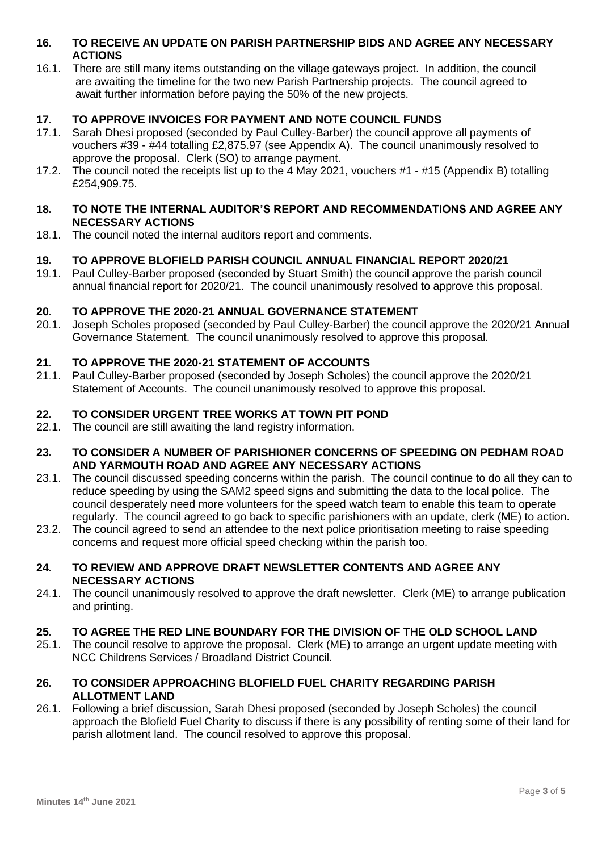## **16. TO RECEIVE AN UPDATE ON PARISH PARTNERSHIP BIDS AND AGREE ANY NECESSARY ACTIONS**

16.1. There are still many items outstanding on the village gateways project. In addition, the council are awaiting the timeline for the two new Parish Partnership projects. The council agreed to await further information before paying the 50% of the new projects.

# **17. TO APPROVE INVOICES FOR PAYMENT AND NOTE COUNCIL FUNDS**

- 17.1. Sarah Dhesi proposed (seconded by Paul Culley-Barber) the council approve all payments of vouchers #39 - #44 totalling £2,875.97 (see Appendix A). The council unanimously resolved to approve the proposal. Clerk (SO) to arrange payment.
- 17.2. The council noted the receipts list up to the 4 May 2021, vouchers #1 #15 (Appendix B) totalling £254,909.75.

## **18. TO NOTE THE INTERNAL AUDITOR'S REPORT AND RECOMMENDATIONS AND AGREE ANY NECESSARY ACTIONS**

18.1. The council noted the internal auditors report and comments.

# **19. TO APPROVE BLOFIELD PARISH COUNCIL ANNUAL FINANCIAL REPORT 2020/21**

19.1. Paul Culley-Barber proposed (seconded by Stuart Smith) the council approve the parish council annual financial report for 2020/21. The council unanimously resolved to approve this proposal.

#### **20. TO APPROVE THE 2020-21 ANNUAL GOVERNANCE STATEMENT**

20.1. Joseph Scholes proposed (seconded by Paul Culley-Barber) the council approve the 2020/21 Annual Governance Statement. The council unanimously resolved to approve this proposal.

#### **21. TO APPROVE THE 2020-21 STATEMENT OF ACCOUNTS**

21.1. Paul Culley-Barber proposed (seconded by Joseph Scholes) the council approve the 2020/21 Statement of Accounts. The council unanimously resolved to approve this proposal.

#### **22. TO CONSIDER URGENT TREE WORKS AT TOWN PIT POND**

22.1. The council are still awaiting the land registry information.

#### **23. TO CONSIDER A NUMBER OF PARISHIONER CONCERNS OF SPEEDING ON PEDHAM ROAD AND YARMOUTH ROAD AND AGREE ANY NECESSARY ACTIONS**

- 23.1. The council discussed speeding concerns within the parish. The council continue to do all they can to reduce speeding by using the SAM2 speed signs and submitting the data to the local police. The council desperately need more volunteers for the speed watch team to enable this team to operate regularly. The council agreed to go back to specific parishioners with an update, clerk (ME) to action.
- 23.2. The council agreed to send an attendee to the next police prioritisation meeting to raise speeding concerns and request more official speed checking within the parish too.

#### **24. TO REVIEW AND APPROVE DRAFT NEWSLETTER CONTENTS AND AGREE ANY NECESSARY ACTIONS**

24.1. The council unanimously resolved to approve the draft newsletter. Clerk (ME) to arrange publication and printing.

#### **25. TO AGREE THE RED LINE BOUNDARY FOR THE DIVISION OF THE OLD SCHOOL LAND**

25.1. The council resolve to approve the proposal. Clerk (ME) to arrange an urgent update meeting with NCC Childrens Services / Broadland District Council.

## **26. TO CONSIDER APPROACHING BLOFIELD FUEL CHARITY REGARDING PARISH ALLOTMENT LAND**

26.1. Following a brief discussion, Sarah Dhesi proposed (seconded by Joseph Scholes) the council approach the Blofield Fuel Charity to discuss if there is any possibility of renting some of their land for parish allotment land. The council resolved to approve this proposal.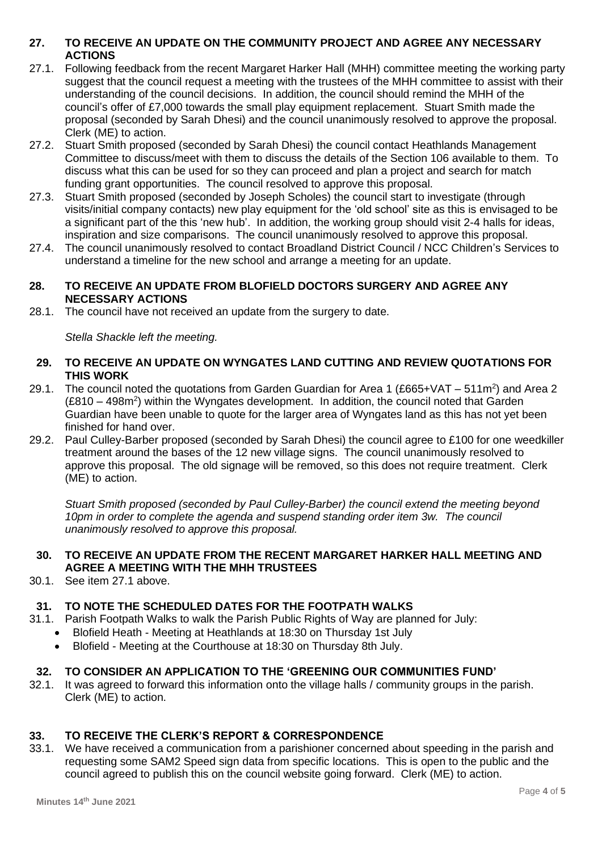# **27. TO RECEIVE AN UPDATE ON THE COMMUNITY PROJECT AND AGREE ANY NECESSARY ACTIONS**

- 27.1. Following feedback from the recent Margaret Harker Hall (MHH) committee meeting the working party suggest that the council request a meeting with the trustees of the MHH committee to assist with their understanding of the council decisions. In addition, the council should remind the MHH of the council's offer of £7,000 towards the small play equipment replacement. Stuart Smith made the proposal (seconded by Sarah Dhesi) and the council unanimously resolved to approve the proposal. Clerk (ME) to action.
- 27.2. Stuart Smith proposed (seconded by Sarah Dhesi) the council contact Heathlands Management Committee to discuss/meet with them to discuss the details of the Section 106 available to them. To discuss what this can be used for so they can proceed and plan a project and search for match funding grant opportunities. The council resolved to approve this proposal.
- 27.3. Stuart Smith proposed (seconded by Joseph Scholes) the council start to investigate (through visits/initial company contacts) new play equipment for the 'old school' site as this is envisaged to be a significant part of the this 'new hub'. In addition, the working group should visit 2-4 halls for ideas, inspiration and size comparisons. The council unanimously resolved to approve this proposal.
- 27.4. The council unanimously resolved to contact Broadland District Council / NCC Children's Services to understand a timeline for the new school and arrange a meeting for an update.

## **28. TO RECEIVE AN UPDATE FROM BLOFIELD DOCTORS SURGERY AND AGREE ANY NECESSARY ACTIONS**

28.1. The council have not received an update from the surgery to date.

*Stella Shackle left the meeting.*

## **29. TO RECEIVE AN UPDATE ON WYNGATES LAND CUTTING AND REVIEW QUOTATIONS FOR THIS WORK**

- 29.1. The council noted the quotations from Garden Guardian for Area 1 (£665+VAT 511m<sup>2</sup>) and Area 2 (£810 – 498m<sup>2</sup>) within the Wyngates development. In addition, the council noted that Garden Guardian have been unable to quote for the larger area of Wyngates land as this has not yet been finished for hand over.
- 29.2. Paul Culley-Barber proposed (seconded by Sarah Dhesi) the council agree to £100 for one weedkiller treatment around the bases of the 12 new village signs. The council unanimously resolved to approve this proposal. The old signage will be removed, so this does not require treatment. Clerk (ME) to action.

*Stuart Smith proposed (seconded by Paul Culley-Barber) the council extend the meeting beyond 10pm in order to complete the agenda and suspend standing order item 3w. The council unanimously resolved to approve this proposal.*

# **30. TO RECEIVE AN UPDATE FROM THE RECENT MARGARET HARKER HALL MEETING AND AGREE A MEETING WITH THE MHH TRUSTEES**

30.1. See item 27.1 above.

# **31. TO NOTE THE SCHEDULED DATES FOR THE FOOTPATH WALKS**

- 31.1. Parish Footpath Walks to walk the Parish Public Rights of Way are planned for July:
	- Blofield Heath Meeting at Heathlands at 18:30 on Thursday 1st July
	- Blofield Meeting at the Courthouse at 18:30 on Thursday 8th July.

# **32. TO CONSIDER AN APPLICATION TO THE 'GREENING OUR COMMUNITIES FUND'**

32.1. It was agreed to forward this information onto the village halls / community groups in the parish. Clerk (ME) to action.

# **33. TO RECEIVE THE CLERK'S REPORT & CORRESPONDENCE**

33.1. We have received a communication from a parishioner concerned about speeding in the parish and requesting some SAM2 Speed sign data from specific locations. This is open to the public and the council agreed to publish this on the council website going forward. Clerk (ME) to action.